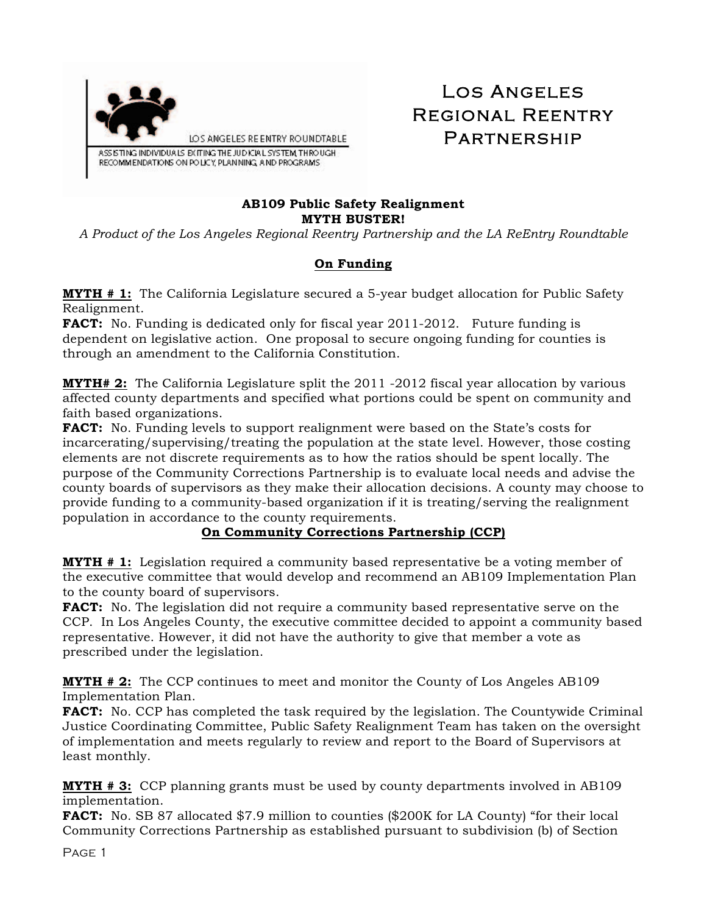

# Los Angeles Regional Reentry **PARTNERSHIP**

#### **AB109 Public Safety Realignment MYTH BUSTER!**

*A Product of the Los Angeles Regional Reentry Partnership and the LA ReEntry Roundtable* 

## **On Funding**

**MYTH # 1:** The California Legislature secured a 5-year budget allocation for Public Safety Realignment.

**FACT:** No. Funding is dedicated only for fiscal year 2011-2012. Future funding is dependent on legislative action. One proposal to secure ongoing funding for counties is through an amendment to the California Constitution.

**MYTH# 2:** The California Legislature split the 2011 -2012 fiscal year allocation by various affected county departments and specified what portions could be spent on community and faith based organizations.

**FACT:** No. Funding levels to support realignment were based on the State's costs for incarcerating/supervising/treating the population at the state level. However, those costing elements are not discrete requirements as to how the ratios should be spent locally. The purpose of the Community Corrections Partnership is to evaluate local needs and advise the county boards of supervisors as they make their allocation decisions. A county may choose to provide funding to a community-based organization if it is treating/serving the realignment population in accordance to the county requirements.

## **On Community Corrections Partnership (CCP)**

**MYTH # 1:** Legislation required a community based representative be a voting member of the executive committee that would develop and recommend an AB109 Implementation Plan to the county board of supervisors.

**FACT:** No. The legislation did not require a community based representative serve on the CCP. In Los Angeles County, the executive committee decided to appoint a community based representative. However, it did not have the authority to give that member a vote as prescribed under the legislation.

**MYTH # 2:** The CCP continues to meet and monitor the County of Los Angeles AB109 Implementation Plan.

FACT: No. CCP has completed the task required by the legislation. The Countywide Criminal Justice Coordinating Committee, Public Safety Realignment Team has taken on the oversight of implementation and meets regularly to review and report to the Board of Supervisors at least monthly.

**MYTH # 3:** CCP planning grants must be used by county departments involved in AB109 implementation.

**FACT:** No. SB 87 allocated \$7.9 million to counties (\$200K for LA County) "for their local Community Corrections Partnership as established pursuant to subdivision (b) of Section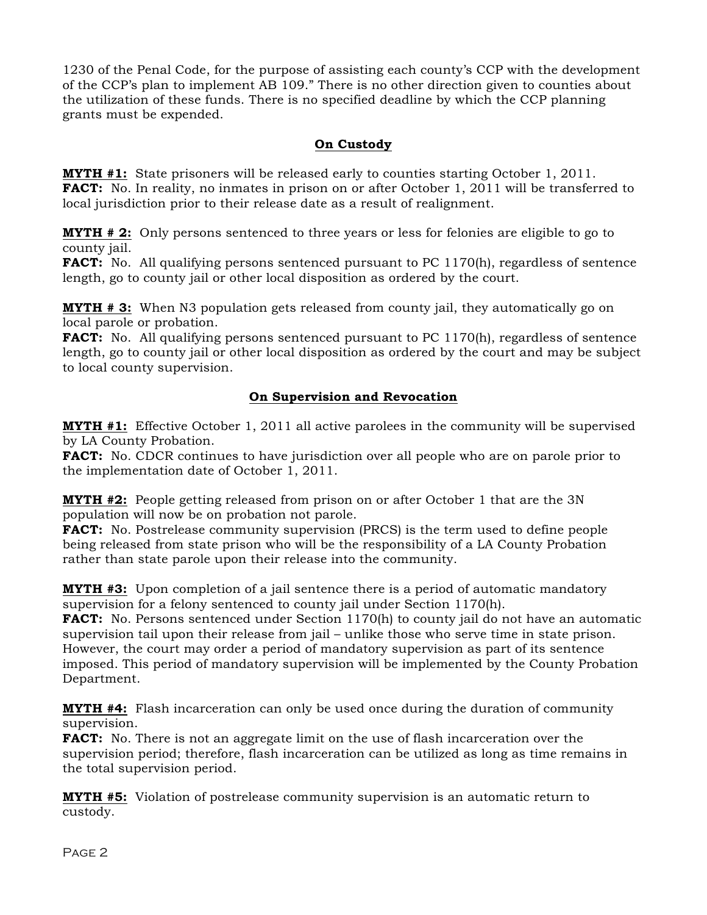1230 of the Penal Code, for the purpose of assisting each county's CCP with the development of the CCP's plan to implement AB 109." There is no other direction given to counties about the utilization of these funds. There is no specified deadline by which the CCP planning grants must be expended.

## **On Custody**

**MYTH #1:** State prisoners will be released early to counties starting October 1, 2011. **FACT:** No. In reality, no inmates in prison on or after October 1, 2011 will be transferred to local jurisdiction prior to their release date as a result of realignment.

**MYTH # 2:** Only persons sentenced to three years or less for felonies are eligible to go to county jail.

**FACT:** No. All qualifying persons sentenced pursuant to PC 1170(h), regardless of sentence length, go to county jail or other local disposition as ordered by the court.

**MYTH # 3:** When N3 population gets released from county jail, they automatically go on local parole or probation.

**FACT:** No. All qualifying persons sentenced pursuant to PC 1170(h), regardless of sentence length, go to county jail or other local disposition as ordered by the court and may be subject to local county supervision.

### **On Supervision and Revocation**

**MYTH #1:** Effective October 1, 2011 all active parolees in the community will be supervised by LA County Probation.

**FACT:** No. CDCR continues to have jurisdiction over all people who are on parole prior to the implementation date of October 1, 2011.

**MYTH #2:** People getting released from prison on or after October 1 that are the 3N population will now be on probation not parole.

**FACT:** No. Postrelease community supervision (PRCS) is the term used to define people being released from state prison who will be the responsibility of a LA County Probation rather than state parole upon their release into the community.

**MYTH #3:** Upon completion of a jail sentence there is a period of automatic mandatory supervision for a felony sentenced to county jail under Section 1170(h).

**FACT:** No. Persons sentenced under Section 1170(h) to county jail do not have an automatic supervision tail upon their release from jail – unlike those who serve time in state prison. However, the court may order a period of mandatory supervision as part of its sentence imposed. This period of mandatory supervision will be implemented by the County Probation Department.

**MYTH #4:** Flash incarceration can only be used once during the duration of community supervision.

**FACT:** No. There is not an aggregate limit on the use of flash incarceration over the supervision period; therefore, flash incarceration can be utilized as long as time remains in the total supervision period.

**MYTH #5:** Violation of postrelease community supervision is an automatic return to custody.